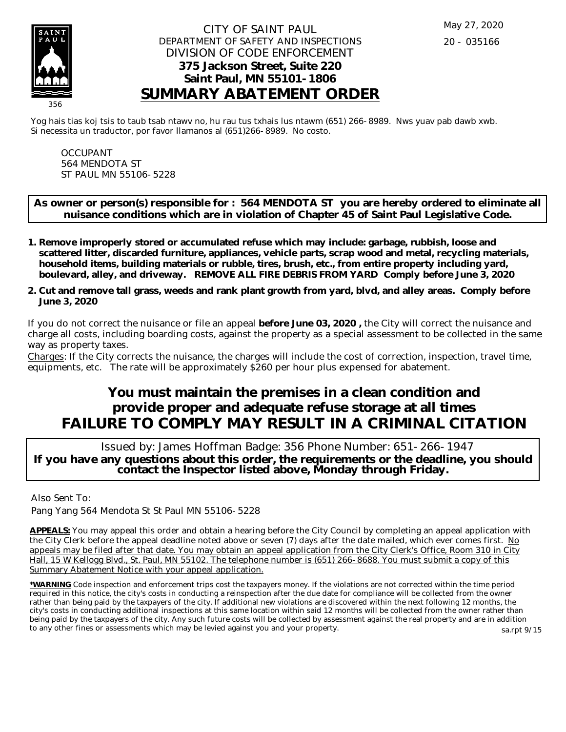

## CITY OF SAINT PAUL DEPARTMENT OF SAFETY AND INSPECTIONS DIVISION OF CODE ENFORCEMENT **375 Jackson Street, Suite 220 Saint Paul, MN 55101-1806 SUMMARY ABATEMENT ORDER**

Yog hais tias koj tsis to taub tsab ntawv no, hu rau tus txhais lus ntawm (651) 266-8989. Nws yuav pab dawb xwb. Si necessita un traductor, por favor llamanos al (651)266-8989. No costo.

OCCUPANT 564 MENDOTA ST ST PAUL MN 55106-5228

**As owner or person(s) responsible for : 564 MENDOTA ST you are hereby ordered to eliminate all nuisance conditions which are in violation of Chapter 45 of Saint Paul Legislative Code.**

- **Remove improperly stored or accumulated refuse which may include: garbage, rubbish, loose and 1. scattered litter, discarded furniture, appliances, vehicle parts, scrap wood and metal, recycling materials, household items, building materials or rubble, tires, brush, etc., from entire property including yard, boulevard, alley, and driveway. REMOVE ALL FIRE DEBRIS FROM YARD Comply before June 3, 2020**
- **Cut and remove tall grass, weeds and rank plant growth from yard, blvd, and alley areas. Comply before 2. June 3, 2020**

If you do not correct the nuisance or file an appeal **before June 03, 2020 ,** the City will correct the nuisance and charge all costs, including boarding costs, against the property as a special assessment to be collected in the same way as property taxes.

Charges: If the City corrects the nuisance, the charges will include the cost of correction, inspection, travel time, equipments, etc. The rate will be approximately \$260 per hour plus expensed for abatement.

## **You must maintain the premises in a clean condition and provide proper and adequate refuse storage at all times FAILURE TO COMPLY MAY RESULT IN A CRIMINAL CITATION**

 Issued by: James Hoffman Badge: 356 Phone Number: 651-266-1947 **If you have any questions about this order, the requirements or the deadline, you should contact the Inspector listed above, Monday through Friday.**

Also Sent To:

Pang Yang 564 Mendota St St Paul MN 55106-5228

**APPEALS:** You may appeal this order and obtain a hearing before the City Council by completing an appeal application with the City Clerk before the appeal deadline noted above or seven (7) days after the date mailed, which ever comes first. No appeals may be filed after that date. You may obtain an appeal application from the City Clerk's Office, Room 310 in City Hall, 15 W Kellogg Blvd., St. Paul, MN 55102. The telephone number is (651) 266-8688. You must submit a copy of this Summary Abatement Notice with your appeal application.

**\*WARNING** Code inspection and enforcement trips cost the taxpayers money. If the violations are not corrected within the time period required in this notice, the city's costs in conducting a reinspection after the due date for compliance will be collected from the owner rather than being paid by the taxpayers of the city. If additional new violations are discovered within the next following 12 months, the city's costs in conducting additional inspections at this same location within said 12 months will be collected from the owner rather than being paid by the taxpayers of the city. Any such future costs will be collected by assessment against the real property and are in addition to any other fines or assessments which may be levied against you and your property.

sa.rpt 9/15